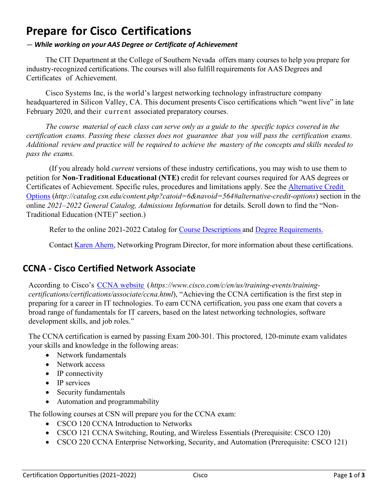# **Prepare for Cisco Certifications**

#### *— While working on your AAS Degree or Certificate of Achievement*

The CIT Department at the College of Southern Nevada offers many courses to help you prepare for industry-recognized certifications. The courses will also fulfill requirements for AAS Degrees and Certificates of Achievement.

Cisco Systems Inc, is the world's largest networking technology infrastructure company headquartered in Silicon Valley, CA. This document presents Cisco certifications which "went live" in late February 2020, and their current associated preparatory courses.

The course material of each class can serve only as a guide to the specific topics covered in the *certification exams. Passing these classes does not guarantee that you will pass the certification exams.*  Additional review and practice will be required to achieve the mastery of the concepts and skills needed to *pass the exams.*

(If you already hold *current* versions of these industry certifications, you may wish to use them to petition for **Non-Traditional Educational (NTE)** credit for relevant courses required for AAS degrees or Certificates of Achievement. Specific rules, procedures and limitations apply. See the [Alternative Credit](http://catalog.csn.edu/content.php?catoid=6&navoid=564#alternative-credit-options)  [Options](http://catalog.csn.edu/content.php?catoid=6&navoid=564#alternative-credit-options) (*http://catalog.csn.edu/content.php?catoid=6&navoid=564#alternative-credit-options*) section in the online *2021–2022 General Catalog, Admissions Information* for details. Scroll down to find the "Non-Traditional Education (NTE)" section.)

Refer to the online 2021-2022 Catalog for [Course Descriptions](http://catalog.csn.edu/content.php?catoid=6&navoid=571) and [Degree Requirements](http://catalog.csn.edu/content.php?catoid=6&navoid=594).

Contact Karen [Ahern,](https://www.csn.edu/directory/karen-ahern) Networking Program Director, for more information about these certifications.

### **CCNA - Cisco Certified Network Associate**

According to Cisco's [CCNA website](https://www.cisco.com/c/en/us/training-events/training-certifications/certifications/associate/ccna.html) (*https://www.cisco.com/c/en/us/training-events/trainingcertifications/certifications/associate/ccna.html*), "Achieving the CCNA certification is the first step in preparing for a career in IT technologies. To earn CCNA certification, you pass one exam that covers a broad range of fundamentals for IT careers, based on the latest networking technologies, software development skills, and job roles."

The CCNA certification is earned by passing Exam 200-301. This proctored, 120-minute exam validates your skills and knowledge in the following areas:

- Network fundamentals
- Network access
- IP connectivity
- IP services
- Security fundamentals
- Automation and programmability

The following courses at CSN will prepare you for the CCNA exam:

- CSCO 120 CCNA Introduction to Networks
- CSCO 121 CCNA Switching, Routing, and Wireless Essentials (Prerequisite: CSCO 120)
- CSCO 220 CCNA Enterprise Networking, Security, and Automation (Prerequisite: CSCO 121)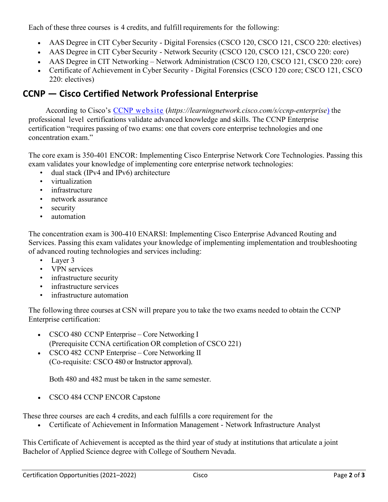Each of these three courses is 4 credits, and fulfill requirements for the following:

- AAS Degree in CIT Cyber Security Digital Forensics (CSCO 120, CSCO 121, CSCO 220: electives)
- AAS Degree in CIT Cyber Security Network Security (CSCO 120, CSCO 121, CSCO 220: core)
- AAS Degree in CIT Networking Network Administration (CSCO 120, CSCO 121, CSCO 220: core)
- Certificate of Achievement in Cyber Security Digital Forensics (CSCO 120 core; CSCO 121, CSCO 220: electives)

## **CCNP — Cisco Certified Network Professional Enterprise**

According to Cisco's CCNP [website](https://learningnetwork.cisco.com/s/ccnp-enterprise) (*https://learningnetwork.cisco.com/s/ccnp-enterprise*) the professional level certifications validate advanced knowledge and skills. The CCNP Enterprise certification "requires passing of two exams: one that covers core enterprise technologies and one concentration exam."

The core exam is 350-401 ENCOR: Implementing Cisco Enterprise Network Core Technologies. Passing this exam validates your knowledge of implementing core enterprise network technologies:

- dual stack (IPv4 and IPv6) architecture
- virtualization
- infrastructure
- network assurance
- security
- automation

The concentration exam is 300-410 ENARSI: Implementing Cisco Enterprise Advanced Routing and Services. Passing this exam validates your knowledge of implementing implementation and troubleshooting of advanced routing technologies and services including:

- Layer 3
- VPN services
- infrastructure security
- infrastructure services
- infrastructure automation

The following three courses at CSN will prepare you to take the two exams needed to obtain the CCNP Enterprise certification:

- CSCO 480 CCNP Enterprise Core Networking I (Prerequisite CCNA certification OR completion of CSCO 221)
- CSCO 482 CCNP Enterprise Core Networking II (Co-requisite: CSCO 480 or Instructor approval).

Both 480 and 482 must be taken in the same semester.

• CSCO 484 CCNP ENCOR Capstone

These three courses are each 4 credits, and each fulfills a core requirement for the

• Certificate of Achievement in Information Management - Network Infrastructure Analyst

This Certificate of Achievement is accepted as the third year of study at institutions that articulate a joint Bachelor of Applied Science degree with College of Southern Nevada.